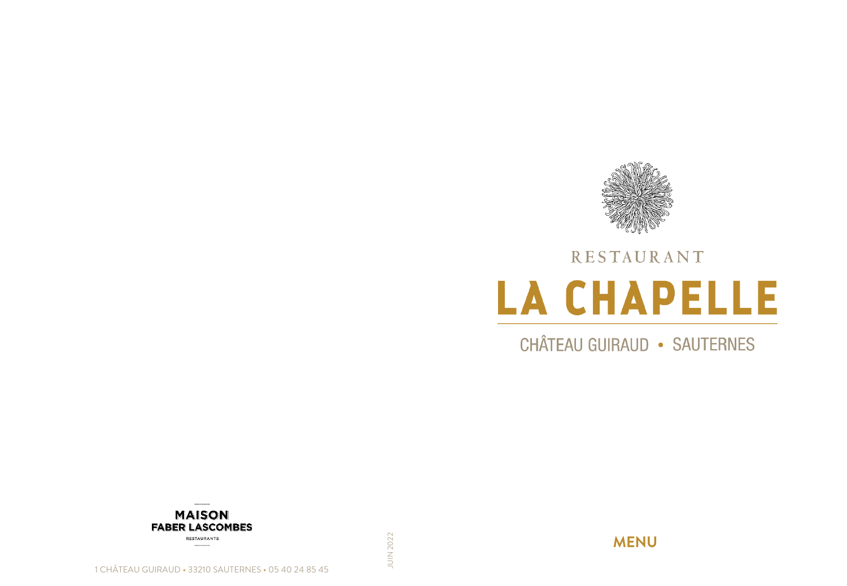

# RESTAURANT **LA CHAPELLE**

**CHÂTEAU GUIRAUD • SAUTERNES** 



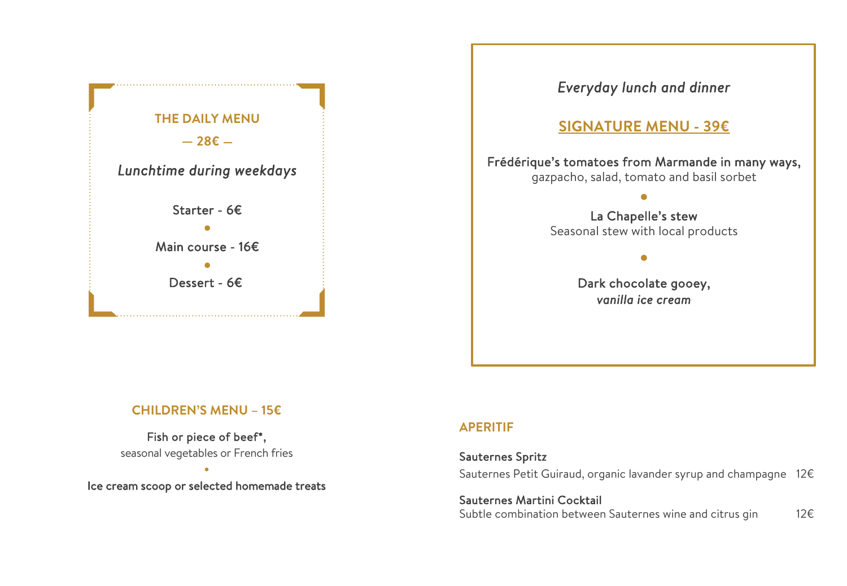

### *Everyday lunch and dinner*

# **SIGNATURE MENU - 39€**

#### Frédérique's tomatoes from Marmande in many ways, gazpacho, salad, tomato and basil sorbet

# • La Chapelle's stew Seasonal stew with local products

•

Dark chocolate gooey, *vanilla ice cream*

#### **CHILDREN'S MENU – 15€**

Fish or piece of beef\*, seasonal vegetables or French fries

• Ice cream scoop or selected homemade treats

#### **APERITIF**

#### Sauternes Spritz

Sauternes Petit Guiraud, organic lavander syrup and champagne 12€

Sauternes Martini Cocktail Subtle combination between Sauternes wine and citrus gin 12€